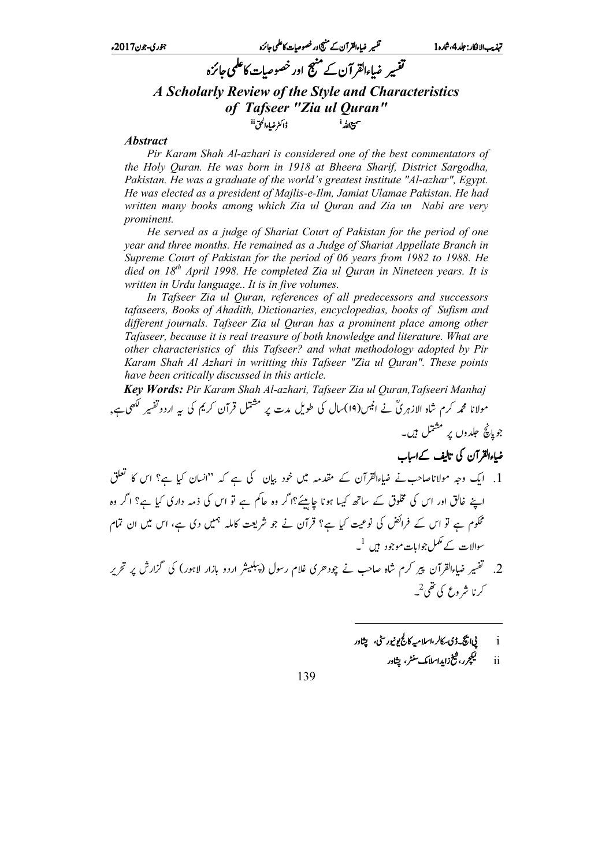$\overline{\phantom{a}}$  $\overline{a}$ 

  $\overline{a}$  $\overline{a}$ % 
!"#\$

#### نفسیر ضیاءالقرآن کے سلہج اور خصوصیات کاعلمی جائزہ كاعلمى جائزه *A Scholarly Review of the Style and Characteristics of Tafseer "Zia ul Quran"*  .<br>ڈاکٹر ضاءالحق<sup>ii</sup> سمبيع الله. i

### *Abstract*

*Pir Karam Shah Al-azhari is considered one of the best commentators of the Holy Quran. He was born in 1918 at Bheera Sharif, District Sargodha, Pakistan. He was a graduate of the world's greatest institute "Al-azhar", Egypt. He was elected as a president of Majlis-e-Ilm, Jamiat Ulamae Pakistan. He had written many books among which Zia ul Quran and Zia un Nabi are very prominent.* 

*He served as a judge of Shariat Court of Pakistan for the period of one year and three months. He remained as a Judge of Shariat Appellate Branch in Supreme Court of Pakistan for the period of 06 years from 1982 to 1988. He died on 18th April 1998. He completed Zia ul Quran in Nineteen years. It is written in Urdu language.. It is in five volumes.* 

*In Tafseer Zia ul Quran, references of all predecessors and successors tafaseers, Books of Ahadith, Dictionaries, encyclopedias, books of Sufism and different journals. Tafseer Zia ul Quran has a prominent place among other Tafaseer, because it is real treasure of both knowledge and literature. What are other characteristics of this Tafseer? and what methodology adopted by Pir Karam Shah Al Azhari in writting this Tafseer "Zia ul Quran". These points have been critically discussed in this article.* 

*Key Words: Pir Karam Shah Al-azhari, Tafseer Zia ul Quran,Tafseeri Manhaj*  مولانا محمه کرم شاه 8 9 ;< : K J I H DE F G @ABC ? > =&  $\frac{\iota}{\iota}$ قرآن کریم کی یہ اردو گفتیر لکھی ہے, جوہانچ جلدوں پر مشتمل ہیں۔ ضاءالقرآن کی تالیف L تالیف کےاسباب ۔ و ے ت سے سے معمد . . .<br>1. ایک وجہ مولاناصاحب نے ضیاءالقرآن کے مقدمہ میں خود بیان کی ہے کہ ''انسان کیا ہے؟ اس کا تعلق اپنے خالق اور اس کی مخلوق کے ساتھ کیںا ہونا چ<u>اپ</u> .<br>. ئے؟اگر وہ حاکم ہے تو اس کی ذمہ داری کیا ہے؟ اگر وہ محکوم ہے تو اس کے فرائض کی نوعیت کیا ہے؟ قرآن تو<br>.. قرآن نے جو شریعت کاملہ ہمیں دی ہے، اس میں ان تمام سوالات کے مکمل جوابات موجود ہیں <sup>1</sup>۔  $\cdot$  $\overline{\phantom{0}}$  $\cdot$ 

2. لفسير ضياءالقرآن پير كرم شاه شاہ صاحب نے چود حری غلام رسول (پبلبیشر بثر اردو بازار لاہور) کی گزارش پر تحریر کرنا شروع کی تھی<sup>2</sup>۔

 $\overline{a}$ 

- ¤ \$ ¡¢£&1X X .
	- ii لیکچرر، فیلخ زایداسلامک سنٹر، پشاور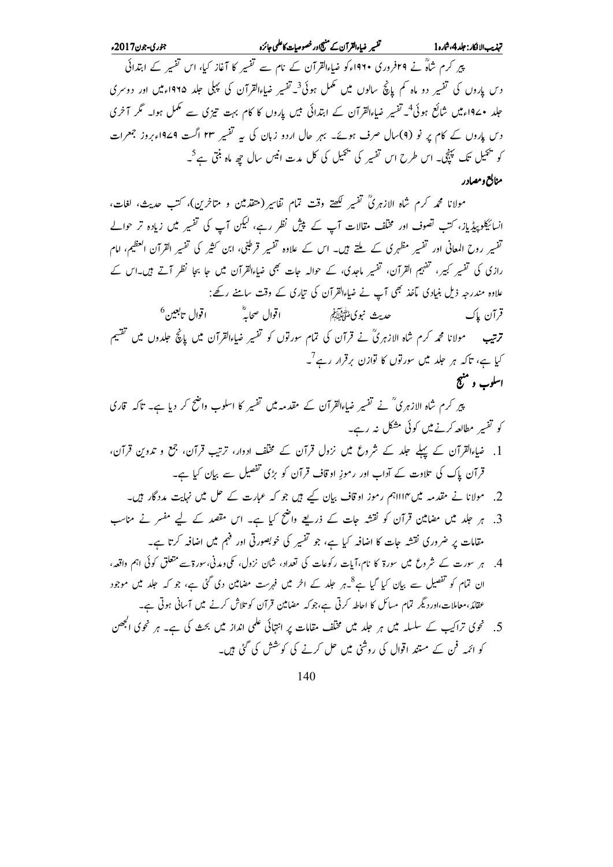۔<br>تہذیب الافکار: جلد 4،شارہ 1

پیر کرم شاہؓ نے ۲۹فروری ۱۹۶۰ءکو ضیاءالقرآن کے نام سے تفسیر کا آغاز کیا، اس تفسیر کے ابتدائی دیں پاروں کی تفسیر دو ماہ <sup>ک</sup>م پانچ سالوں میں مکمل ہوئی<sup>3</sup>۔تفسیر ضاءالقرآن کی پہلی جلد ۱۹۶۵ءمیں اور دوسری جلد •94ءمیں شائع ہوئی<sup>4</sup> تفسیر ضاءالقرآن کے ابتدائی بیں پاروں کا کام بہت تیزی سے مکمل ہوا۔ گر آخری دیں پاروں کے کام پر نو (۹)سال صرف ہوئے۔ بہر حال اردو زبان کی ہہ تفسیر ۲۳ اگست ۱۹۷۹ءبروز جمعرات کو پخیل تک پہنچی۔ اس طرح اس تفسیر کی پخیل کی کل مدت انیس سال جھ ماہ بنتی ہے <sup>5</sup>۔ منابع ومصادر

مولانا محمه کرم شاه الازہریؒ تفسیر لکھتے وقت تمام تفاسیر (متقدمین و متاخرین)، کتب حدیث، لغات، انسائیکو پیڈیاز، کتب تصوف اور مخلف مقالات آپ کے پیش نظر رہے، لیکن آپ کی تفسیر میں زیادہ تر حوالے تفسیر روح المعانی اور تفسیر مظہری کے ملتے ہیں۔ اس کے علاوہ تفسیر قرطبی، ابن کثیر کی تفسیر القرآن العظیم، امام رازی کی تفسیر کبیر، تفہیم القرآن، تفسیر ماجدی، کے حوالہ جات بھی ضیاءالقرآن میں جا بجا نظر آتے ہیں۔اس کے ۔<br>علاوہ مندرجہ ذیل بنیادی مآخذ بھی آپ نے ضیاءالقرآن کی تیاری کے وقت سامنے رکھ: اقوال صحابه همس اقوال تابعين<sup>6</sup> حديث نبو كالمتوليلي قرآن پاک ۔<br>ترتیب مسلمولانا محمد کرم شاہ الازہریؒ نے قرآن کی تمام سورتوں کو تفسیر ضیاءالقرآن میں پانچ جلدوں میں تقسیم کیا ہے، تاکہ ہر جلد میں سورتوں کا توازن پرقرار رہے<sup>7</sup>۔ اسلوب وتمنيج

پیر کرم شاہ الازہری ؓ نے تفسیر ضیاءالقرآن کے مقدمہ میں تفسیر کا اسلوب واضح کر دیا ہے۔ تاکہ قاری کو تفسیر مطالعہ کرنے میں کوئی مشکل نہ رہے۔

- 1. ضاءالقرآن کے پہلے جلد کے شروع میں نزول قرآن کے مخلف ادوار، ترتیب قرآن، جمع و تدوین قرآن، قرآن پاک کی تلاوت کے آداب اور رموزِ اوقاف قرآن کو بڑی تفصیل سے بیان کیا ہے۔
	- 2. مولانا نے مقدمہ میں۱۱۱۴ہم رموز اوقاف بیان کیے ہیں جو کہ عبارت کے حل میں نہایت مددگار ہیں۔
- 3. ہر جلد میں مضامین قرآن کو نقشہ جات کے ذریعے واضح کیا ہے۔ اس مقصد کے لیے مفسر نے مناسب مقامات پر ضروری نقشہ جات کا اضافہ کیا ہے، جو تفسیر کی خوبصورتی اور فہم میں اضافہ کرتا ہے۔
- 4. ہر سورت کے شروع میں سورۃ کا نام،آبات رکوعات کی تعداد، شان نزول، کلی ومدنی،سورۃسے متعلق کوئی اہم واقعہ، ان تمام کو تفصیل سے بیان کیا گیا ہے<sup>8</sup>۔ہر حلد کے اخر میں فہرست مضامین دی گئی ہے، جو کہ حلد میں موجود عقائد،معاملات،اورد یگر تمام مسائل کا احاطہ کرتی ہے،جو کہ مضامین قرآن کو تلاش کرنے میں آسانی ہوتی ہے۔
- 5. نحوی تراکیب کے سلسلہ میں ہر جلد میں مختلف مقامات پر انتہائی علمی انداز میں بحث کی ہے۔ ہر نحوی الجھن کو ائمہ فن کے متند اقوال کی روشنی میں حل کرنے کی کوشش کی گئی ہیں۔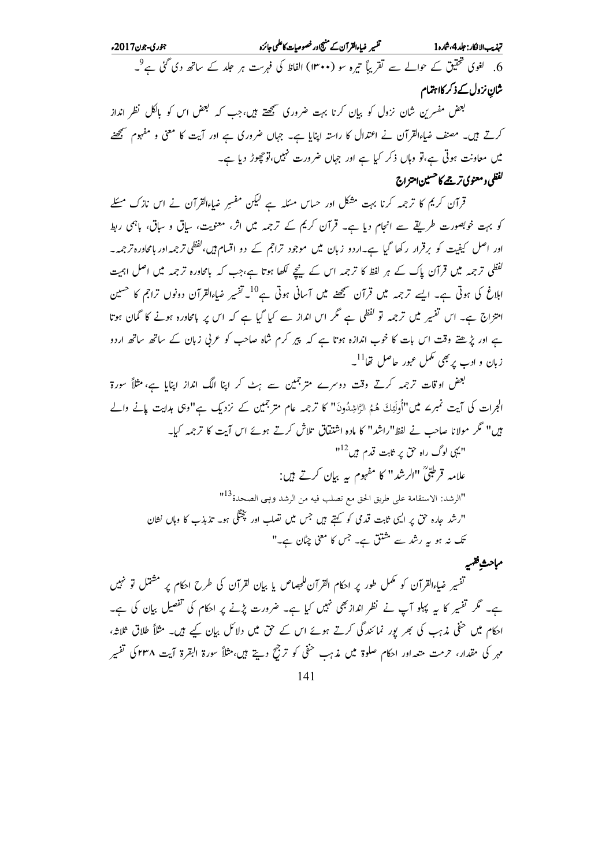تہذیب الافکار : جلد 4، ثارہ1 [ مسلمۃ مسلم تھیر ضیاءالقرآن کے منبع ادر خصوصیات کاعلمی جائزہ 6. لغوی تحقیق کے حوالے سے تقریباً تیرہ سو (۱۳۰۰) الفاظ کی فہرست ہر جلد کے ساتھ دی گئی ہے <sup>9</sup>۔ شان نزول کے ذکر کااہتمام

بعض مفسرین شان نزول کو بیان کرنا بہت ضروری سمجھتے ہیں،جب کہ کبھٹں اس کو پالکل نظر انداز کرتے ہیں۔ مصنف ضاءالقرآن نے اعتدال کا راستہ اپنایا ہے۔ جہاں ضروری ہے اور آیت کا معنی و مفہوم سمجھنے میں معاونت ہوتی ہے،تو وہاں ذکر کیا ہے اور جہاں ضرورت نہیں،تو چھوڑ دیا ہے۔ لفظي ومعنوي ترجيمكاحسين امتزاج

قرآن کریم کا ترجمہ کرنا بہت مشکل اور حساس مسٗلہ ہے لیکن مفسِر ضاءالقرآن نے اس نازک مسئلے کو بہت خوبصورت طریقے سے انحام دیا ہے۔ قرآن کریم کے ترجمہ میں اثر، معنویت، ساق و ساق، ہاہمی ربط اور اصل کیفیت کو برقرار رکھا گیا ہے۔اردو زبان میں موجود تراجم کے دو اقسام ہیں،گفظی ترجمہ اور بامحاورہ ترجمہ-لفظی ترجمہ میں قرآن پاک کے ہر لفظ کا ترجمہ اس کے پنچے لکھا ہوتا ہے،جب کہ ہامحاورہ ترجمہ میں اصل اہمیت ابلاغ کی ہوتی ہے۔ ایسے ترجمہ میں قرآن سمجھنے میں آسانی ہوتی ہے<sup>10</sup>۔تفسیر ضیاءالقرآن دونوں تراجم کا حسین امتزاج ہے۔ اس تفسیر میں ترجمہ تو گفطی ہے گمر اس انداز سے کیا گیا ہے کہ اس پر بامحاورہ ہونے کا گمان ہوتا ہے اور پڑھتے وقت اس بات کا خوب اندازہ ہوتا ہے کہ پیر کرم شاہ صاحب کو عربی زبان کے ساتھ ساتھ اردو زبان و ادب بر بھی مکمل عبور حاصل تھا<sup>11</sup>۔

لبعض اوقات ترجمہ کرتے وقت دوسرے متر جمین سے ہٹ کر اپنا الگ انداز اپنایا ہے،مثلاً سورۃ الجرات کی آیت نمبرے میں"اُولَئِكَ هُمُ الرَّاشِدُونَ" کا ترجمہ عام مترجمین کے نزدیک ہے"وہی ہدایت پانے والے ہیں" گر مولانا صاحب نے لفظ"راشد" کا مادہ اشتقاق تلاش کرتے ہوئے اس آیت کا ترجمہ کیا۔

"یہی لوگ راہ حق یر ثابت قدم ہیں<sup>12</sup>" علامہ قر طبّیٰؓ "الرشد" کا مفہوم ہے بیان کرتے ہیں: "الرشد: الاستقامة على طريق الحق مع تصلب فيه من الرشد وببي الصحدة<sup>113</sup>" "رشد جارہ حق پر ایک ثابت قدمی کو کہتے ہیں جس میں تصلب اور کچتگی ہو۔ تذبذب کا وہاں نشان تک نہ ہو یہ رشد سے مشتق ہے۔ جس کا معنی چٹان ہے۔"

مباحث فقهر تفسیر ضیاءالقرآن کو مکمل طور پر احکام القرآن للجصاص یا بیان لقرآن کی طرح احکام پر مشتل تو نہیں ہے۔ نگر تفسیر کا ہہ پہلو آپ نے نظر انداز بھی نہیں کیا ہے۔ ضرورت پڑنے پر احکام کی تفصیل بیان کی ہے۔ احکام میں حنفی مذہب کی بھر یور نمائندگی کرتے ہوئے اس کے حق میں دلائل بیان کیے ہیں۔ مثلاً طلاق ثلاثہ، مہر کی مقدار، حرمت متعہ اور احکام صلوۃ میں مذہب حنفی کو ترجیح دیتے ہیں،مثلاً سورۃ البقرۃ آیت ۲۳۸کی تفسیر  $141$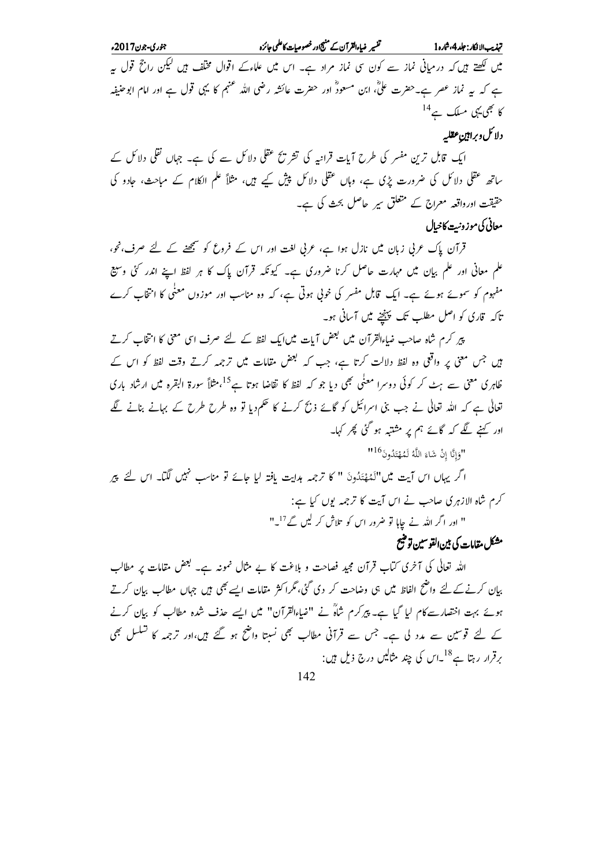جۇرى-جون2017ء

تہذیب الافکار : جلد 4،شارہ 1 میں سینس تشہیر ضاءالقرآن کے منتہج اور خصوصیات کاعلمی جائزہ

میں لکھتے ہیں کہ در میانی نماز سے کون سی نماز مراد ہے۔ اس میں علماءکے اقوال مختلف ہیں لیکن راجح قول ہ<sub>ی</sub>ے ہے کہ ہیے نماز عصر ہے۔حضرت علیؓ، ابن مسعودؓ اور حضرت عائشہ رضی اللہ عنہم کا یہی قول ہے اور امام ابوحنیفہ کا بھی یہی مسلک ہے<sup>14</sup>

دلائل وبرابين عقليه

ایک قابل ترین مفسر کی طرح آیات قرانیہ کی تشریح عقلی دلائل سے کی ہے۔ جہاں نقلی دلائل کے ساتھ عقلی دلائل کی ضرورت پڑی ہے، وہاں عقلی دلائل پیش کیے ہیں، مثلاً علم الکلام کے مباحث، حادو کی حقیقت اورواقعہ معراج کے متعلق سیر حاصل بحث کی ہے۔ معانی کی موزونیت کاخیال

قرآن پاک عربی زبان میں نازل ہوا ہے، عربی لغت اور اس کے فروع کو سمجھنے کے لئے صرف، نحو، علم معانی اور علم بیان میں مہارت حاصل کرنا ضروری ہے۔ کیونکہ قرآن پاک کا ہر لفظ اپنے اندر کئی وسیع مفہوم کو سموئے ہوئے ہے۔ ایک قابل مفسر کی خوتی ہوتی ہے، کہ وہ مناسب اور موزوں معنٰی کا انتخاب کرے تاکہ قاری کو اصل مطلب تک پہنچنے میں آسانی ہو۔

پیر کرم شاہ صاحب ضاءالقرآن میں بعض آیات میںایک لفظ کے لئے صرف اسی معنی کا انتخاب کرتے ہیں جس معنی پر واقعی وہ لفظ دلالت کرتا ہے، جب کہ کبھض مقامات میں ترجمہ کرتے وقت لفظ کو اس کے ۔<br>ظاہر کی معنی سے ہٹ کر کوئی دوسرا معنٰی بھی دیا جو کہ لفظ کا ثقاضا ہوتا ہے<sup>15</sup>،مثلاً سورۃ البقرہ میں ارشاد باری تعالٰی ہے کہ اللہ تعالٰی نے جب بنی اسرائیل کو گائے ذبح کرنے کا حکم دیا تو وہ طرح طرح کے بہانے بنانے لگے اور کہنے لگے کہ گائے ہم پر مشتبہ ہو گئی پھر کہا۔

"وَإِنَّا إِنْ شَاءَ اللَّهُ لَمُهْتَدُونَ<sup>116</sup>"

ا گر یہاں اس آیت میں"لَمُهْتَدُونَ " کا ترجمہ ہدایت یافتہ لیا جائے تو مناسب نہیں لگتا۔ اس لئے پیر کرم شاہ الازہری صاحب نے اس آیت کا ترجمہ یوں کیا ہے:

" اور اگر اللہ نے چاہا تو ضرور اس کو تلاش کر لیں گے<sup>17</sup>\_"

مشكل مقامات كي بين القوسين توضيح

اللہ تعالٰی کی آخری کتاب قرآن مجید فصاحت و بلاغت کا بے مثال نمونہ ہے۔ بعض مقامات پر مطالب بیان کرنےکے لئے واضح الفاظ میں ہی وضاحت کر دی گئی، گرا کثر مقامات ایسے بھی ہیں جہاں مطالب بیان کرتے ہوئے بہت اختصارت کام لیا گیا ہے۔ پیر کرم شاہؓ نے "ضیاءالقرآن" میں ایسے حذف شدہ مطالب کو بیان کرنے کے لئے قوسین سے مدد کی ہے۔ جس سے قرآنی مطالب بھی نستا واضح ہو گئے ہیں،اور ترجمہ کا تسلسل بھی برقرار رہتا ہے<sup>18</sup>۔اس کی چند مثالیں درج ذیل ہیں: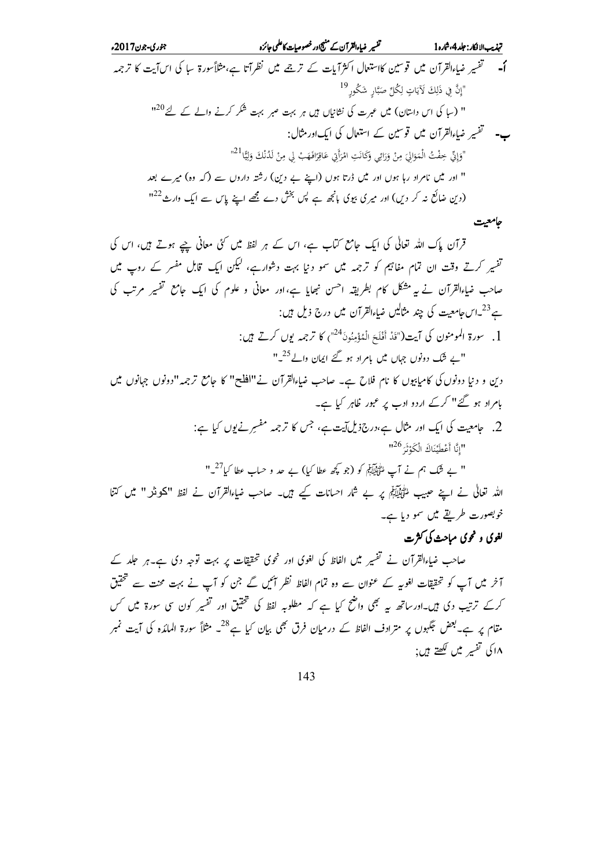قرآن پاک اللہ تعالٰی کی ایک حامع کیاب ہے، اس کے ہر لفظ میں کئی معانی چے ہوتے ہیں، اس کی تفسیر کرتے وقت ان تمام مفاہیم کو ترجمہ میں سمو دنیا بہت دشوارہے، لیکن ایک قابل مفسر کے روپ میں صاحب ضاءالقرآن نے بہ مشکل کام بطریقہ احسن نبھایا ہے،اور معانی و علوم کی ایک جامع تفسیر مرتب کی ہے<sup>23</sup>\_اس**حامعیت کی چند مثالیں ضاءالقرآن میں درج ذیل** ہیں: [. سورة المومنون كي آيت("قَدْ أَفْلَحَ الْمُؤْمِنُونَ<sup>24</sup>") كا ترجمه يوں كرتے ہيں: "بے شک دونوں جہاں میں یام اد ہو گئے ایمان والے<sup>25</sup>\_"

دین و دنیا دونوں کی کامیابیوں کا نام فلاح ہے۔ صاحب ضاءالقرآن نے"افلج" کا حامع ترجمہ"دونوں جہانوں میں ہامراد ہو گئے" کرکے اردو ادب پر عبور ظاہر کیا ہے۔

> 2. جامعیت کی ایک اور مثال ہے،درجۂ یل آیت ہے، جس کا ترجمہ مفسِرنے یوں کیا ہے: "انَّا أَعْطَنْنَاكَ الْكَوْنَ<sup> 1126</sup>

" بے شک ہم نے آپ انہ ہیں کو (جو کچھ عطا کیا) بے جد و حیاب عطا کیا<sup>27</sup>۔" اللہ تعالٰی نے اپنے حبیب التَّخَیِّلَ پر بے شار احسانات کیے ہیں۔ صاحب ضاءالقرآن نے لفظ "کھونڈد " میں کتنا خوبصورت طریقے میں سمو دیا ہے۔

لغوي و خوي ماحث کې کثرت

صاحب ضاءالقرآن نے تفسیر میں الفاظ کی لغوی اور نحوی تحقیقات پر بہت توجہ دی ہے۔ہر جلد کے آخر میں آپ کو تحقیقات لغوریہ کے عنوان سے وہ تمام الفاظ نظر آئیں گے جن کو آپ نے بہت محنت سے تحقیق کرکے ترتیب دی ہیں۔اور ساتھ ہیر بھی واضح کیا ہے کہ مطلوبہ لفظ کی تحقیق اور تفسیر کون سی سورۃ میں کس مقام پر ہے۔بعض مجھہوں پر مترادف الفاظ کے درمیان فرق بھی بیان کیا ہے<sup>28</sup>۔ مثلاً سورۃ المائدہ کی آیت نمبر ۱۸کی تفسیر میں لکھتے ہیں: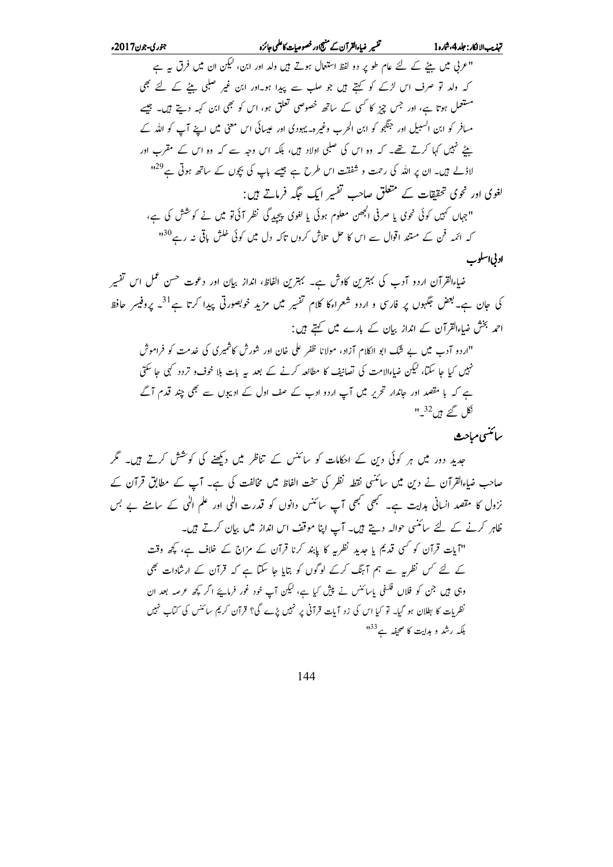۔<br>"عربی میں بلٹے کے لئے عام طو پر دو لفظ استعال ہوتے ہیں ولد اور ابن، کیکن ان میں فرق ہ<sub>ے</sub> ہے کہ ولد تو صرف اس لڑکے کو کہتے ہیں جو صلب سے پیدا ہو۔اور ابن غیر صلبی بنے کے لئے بھی ۔<br>مستعمل ہوتا ہے، اور جس چز کا کسی کے ساتھ خصوصی تعلق ہو، اس کو بھی ابن کہہ دیتے ہیں۔ جیسے مسافر کو ابن السبیل اور جنگجو کو ابن الحرب وغیرہ۔یہودی اور عیسائی اس معنی میں اپنے آپ کو اللہ کے بنے نہیں کہا کرتے تھے۔ کہ وہ اس کی صلبی اولاد ہیں، ہلکہ اس وجہ سے کہ وہ اس کے مقرب اور لاڈلے ہیں۔ ان پر اللہ کی رحمت و شفقت اس طرح ہے جیسے باپ کی بچوں کے ساتھ ہوتی ہے<sup>129</sup> لغوی اور نحوی تحققات کے متعلق صاحب تفسیر ایک جگہ فرماتے ہیں: "جہاں کہیں کوئی نحوی یا صرفی الجھن معلوم ہوئی یا لغوی پیچیدگی نظر آئی تو میں نے کوشش کی ہے، کہ ائمہ فن کے متتد اقوال سے اس کا حل تلاش کروں تاکہ دل میں کوئی خلش باتی نہ رہے<sup>130</sup> ادنی اسلوب

۔<br>ضاءالقرآن اردو آدے کی بہترین کاوش ہے۔ بہترین الفاظ، انداز بیان اور دعوت <sup>حسن عم</sup>ل اس تفسیر کی جان ہے۔ بعض جگہوں پر فارسی و اردو شعراءکا کلام تفسیر میں مزید خوبصورتی پیدا کرتا ہے<sup>31</sup>۔ پروفیسر حافظ احمہ بخش ضاءالقرآن کے انداز بیان کے بارے میں کہتے ہیں:

"اردو آدب میں بے شک ابو الکلام آزاد، مولانا ظفر علی خان اور شورش کاشمیری کی خدمت کو فراموش ۔<br>نہیں کیا جا سکتا، لیکن ضاءالامت کی تصانیف کا مطالعہ کرنے کے بعد یہ بات بلا خوف و تردد کہی جا سکتی ہے کہ ہا مقصد اور جاندار تحریر میں آپ اردو ادب کے صف اول کے ادیبوں سے بھی چند قدم آگے  $11^{32}$  کتر ہیں  $^{32}$ 

سائنسي مباحث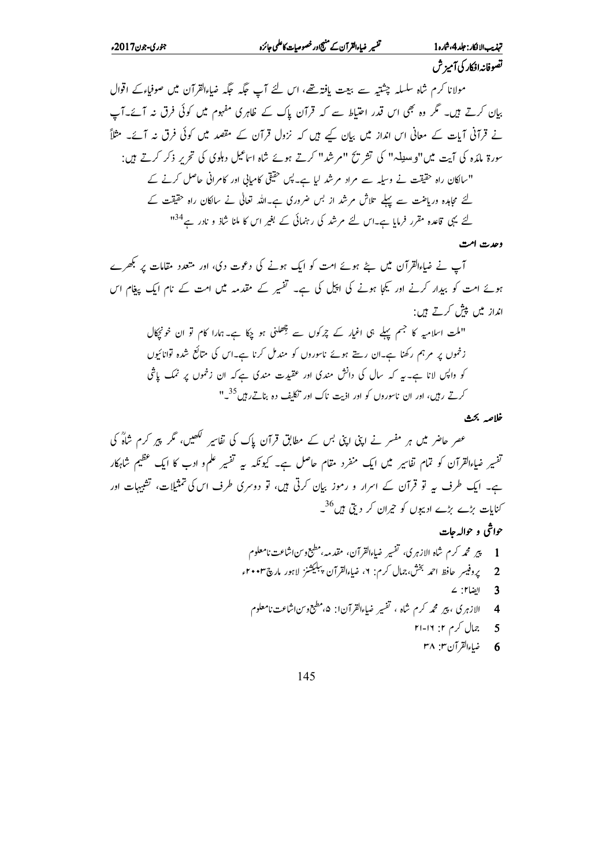تېذىپ لانكار: جلد4، ثاره1 تصوفانه افكار كي آميز ش

مولانا کرم شاہ سلسلہ چشتیہ سے بیعت یافتہ تھے، اس لئے آپ جگہ جگہ ضاءالقرآن میں صوفیاءکے اقوال بیان کرتے ہیں۔ گر وہ بھی اس قدر اختیاط سے کہ قرآن پاک کے ظاہری مفہوم میں کوئی فرق نہ آئے۔آپ نے قرآنی آبات کے معانی اس انداز میں بیان کیے ہیں کہ نزول قرآن کے مقصد میں کوئی فرق نہ آئے۔ مثلاً سورۃ مائدہ کی آیت میں"و میںلم" کی تشریح "م شد" کرتے ہوئے شاہ اساعیل دہلوی کی تحریر ذکر کرتے ہیں: "سالکان راہ حقیقت نے وسیلہ سے مراد مرشد لیا ہے۔ پس حقیقی کامیابی اور کامرانی حاصل کرنے کے لئے مجاہدہ وریاضت سے پہلے تلاش مرشد از بس ضروری ہے۔اللہ تعالٰی نے سالکان راہ حقیقت کے لئے یہی قاعدہ مقرر فرمایا ہے۔اس لئے م شد کی رہنمائی کے بغیر اس کا ملنا شاذ و نادر ہے<sup>134</sup>ا

#### وحدت امت

آپ نے ضیاءالقرآن میں بجے ہوئے امت کو ایک ہونے کی دعوت دی، اور متعدد مقامات پر بکھرے ہوئے امت کو بیدار کرنے اور کیجا ہونے کی اپیل کی ہے۔ تفسیر کے مقدمہ میں امت کے نام ایک پیغام اس انداز میں پش کرتے ہیں:

"ملت اسلامیہ کا جسم پہلے ہی اغیار کے چرکوں سے بیھلنی ہو چکا ہے۔ہمارا کام تو ان خونچکال زخموں پر مرہم رکھنا ہے۔ان رہتے ہوئے ناسوروں کو مندمل کرنا ہے۔اس کی متابَع شدہ توانائیوں کو واپس لانا ہے۔ یہ کہ سال کی دانش مندی اور عقیدت مندی ہے کہ ان زخموں پر نمک پاشی کرتے رہیں، اور ان ناسوروں کو اور اذیت ناک اور تکلف دہ بناتےرہیں<sup>35</sup>۔"

#### خلاصه بحث

عصر حاضر میں ہر مفسر نے اپنی اپنی بس کے مطابق قرآن پاک کی تفاسیر ککھیں، مگر پیر کرم شاہؓ کی تفسیر غیاءالقرآن کو تمام تفاسیر میں ایک منفرد مقام حاصل ہے۔ کیونکہ یہ تفسیر علمو ادب کا ایک عظیم شاہکار ہے۔ ایک طرف پہ تو قرآن کے اسرار و رموز بیان کرتی ہیں، تو دوسری طرف اس کی تمثیلات، تشبہات اور کنایات بڑے بڑے ادیوں کو حیران کر دیتی ہیں<sup>36</sup>۔

## حواثمي و حواله جات

- 1 پير محمه كرم شاه الازهر كي، تفسير ضإءالقرآن، مقدمه،مطبع ويناشاعت نامعلوم 2 \_ پروفیسر\_حافظ احمه بخش،جمال کرم: ۶، ضاءالقرآن پبلیکشنز\_لاہور\_مارچ۴۰۰۳ء الضا٢: ٢  $\overline{3}$ 
	- الازهري ، پير محمه كرم شاه ، تفسير غياءالقرآن!: ۵، مطيع دين اشاعت نامعلوم  $\overline{4}$ 
		- جمال کرم ۲: ۲۱-۲۱  $\overline{5}$ 
			- 6 ضاءالقرآن ٣. ٣٨